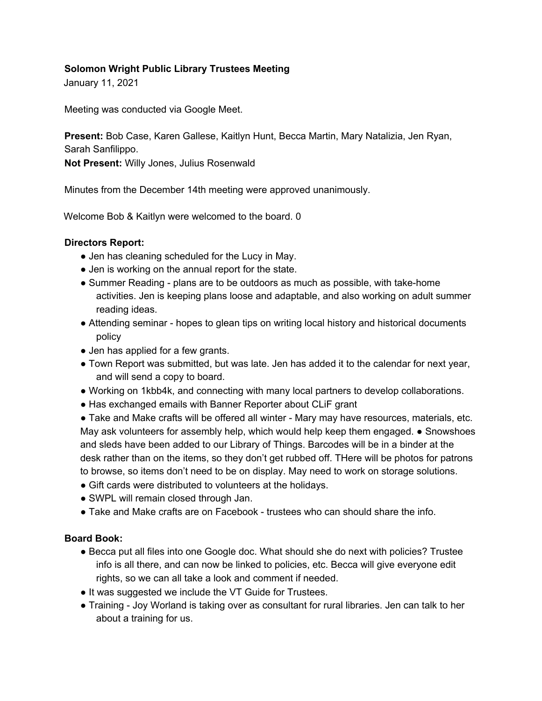### **Solomon Wright Public Library Trustees Meeting**

January 11, 2021

Meeting was conducted via Google Meet.

**Present:** Bob Case, Karen Gallese, Kaitlyn Hunt, Becca Martin, Mary Natalizia, Jen Ryan, Sarah Sanfilippo.

**Not Present:** Willy Jones, Julius Rosenwald

Minutes from the December 14th meeting were approved unanimously.

Welcome Bob & Kaitlyn were welcomed to the board. 0

#### **Directors Report:**

- Jen has cleaning scheduled for the Lucy in May.
- Jen is working on the annual report for the state.
- Summer Reading plans are to be outdoors as much as possible, with take-home activities. Jen is keeping plans loose and adaptable, and also working on adult summer reading ideas.
- Attending seminar hopes to glean tips on writing local history and historical documents policy
- Jen has applied for a few grants.
- Town Report was submitted, but was late. Jen has added it to the calendar for next year, and will send a copy to board.
- Working on 1kbb4k, and connecting with many local partners to develop collaborations.
- Has exchanged emails with Banner Reporter about CLiF grant

● Take and Make crafts will be offered all winter - Mary may have resources, materials, etc. May ask volunteers for assembly help, which would help keep them engaged. ● Snowshoes and sleds have been added to our Library of Things. Barcodes will be in a binder at the desk rather than on the items, so they don't get rubbed off. THere will be photos for patrons to browse, so items don't need to be on display. May need to work on storage solutions.

- Gift cards were distributed to volunteers at the holidays.
- SWPL will remain closed through Jan.
- Take and Make crafts are on Facebook trustees who can should share the info.

#### **Board Book:**

- Becca put all files into one Google doc. What should she do next with policies? Trustee info is all there, and can now be linked to policies, etc. Becca will give everyone edit rights, so we can all take a look and comment if needed.
- It was suggested we include the VT Guide for Trustees.
- Training Joy Worland is taking over as consultant for rural libraries. Jen can talk to her about a training for us.